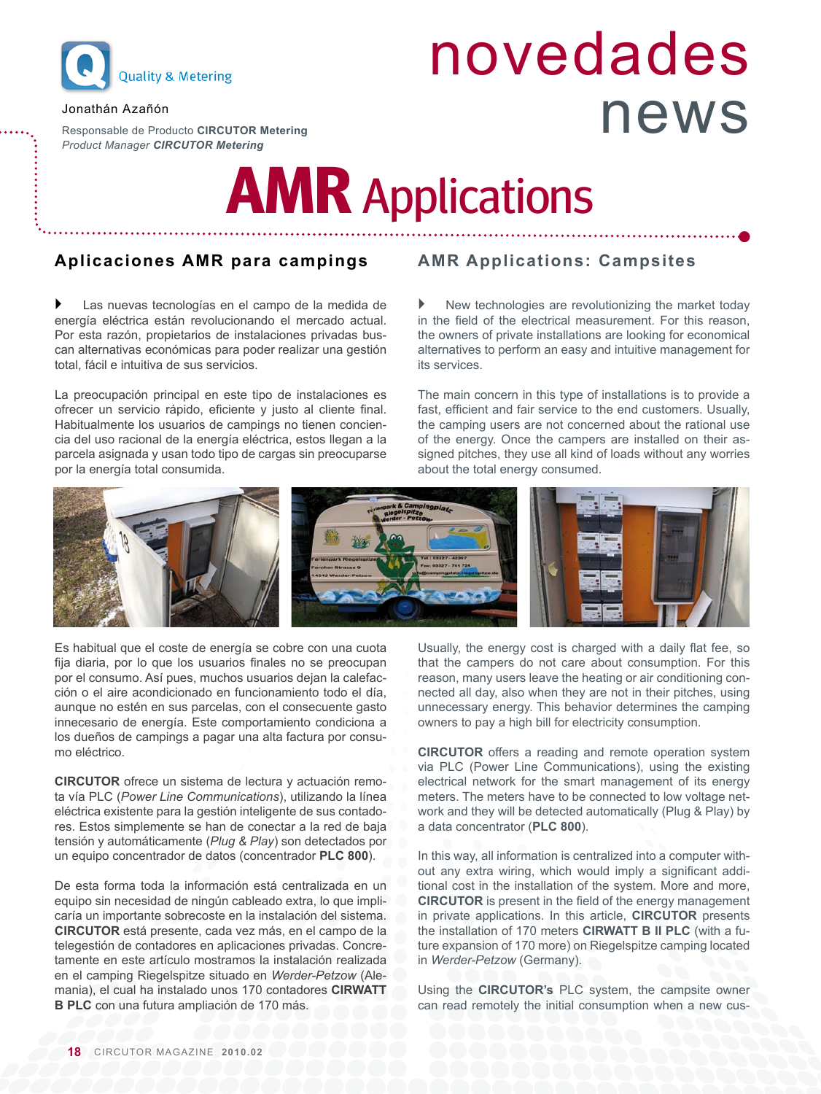

#### Jonathán Azañón

Responsable de Producto **CIRCUTOR Metering** *Product Manager CIRCUTOR Metering*

# novedades news

## **AMR** Applications

### **Aplicaciones AMR para campings**

 Las nuevas tecnologías en el campo de la medida de energía eléctrica están revolucionando el mercado actual. Por esta razón, propietarios de instalaciones privadas buscan alternativas económicas para poder realizar una gestión total, fácil e intuitiva de sus servicios.

La preocupación principal en este tipo de instalaciones es ofrecer un servicio rápido, eficiente y justo al cliente final. Habitualmente los usuarios de campings no tienen conciencia del uso racional de la energía eléctrica, estos llegan a la parcela asignada y usan todo tipo de cargas sin preocuparse por la energía total consumida.

### **AMR Applications: Campsites**

 New technologies are revolutionizing the market today in the field of the electrical measurement. For this reason, the owners of private installations are looking for economical alternatives to perform an easy and intuitive management for its services.

The main concern in this type of installations is to provide a fast, efficient and fair service to the end customers. Usually, the camping users are not concerned about the rational use of the energy. Once the campers are installed on their assigned pitches, they use all kind of loads without any worries about the total energy consumed.



Es habitual que el coste de energía se cobre con una cuota fija diaria, por lo que los usuarios finales no se preocupan por el consumo. Así pues, muchos usuarios dejan la calefacción o el aire acondicionado en funcionamiento todo el día, aunque no estén en sus parcelas, con el consecuente gasto innecesario de energía. Este comportamiento condiciona a los dueños de campings a pagar una alta factura por consumo eléctrico.

**CIRCUTOR** ofrece un sistema de lectura y actuación remota vía PLC (*Power Line Communications*), utilizando la línea eléctrica existente para la gestión inteligente de sus contadores. Estos simplemente se han de conectar a la red de baja tensión y automáticamente (*Plug & Play*) son detectados por un equipo concentrador de datos (concentrador **PLC 800**).

De esta forma toda la información está centralizada en un equipo sin necesidad de ningún cableado extra, lo que implicaría un importante sobrecoste en la instalación del sistema. **CIRCUTOR** está presente, cada vez más, en el campo de la telegestión de contadores en aplicaciones privadas. Concretamente en este artículo mostramos la instalación realizada en el camping Riegelspitze situado en *Werder-Petzow* (Alemania), el cual ha instalado unos 170 contadores **CIRWATT B PLC** con una futura ampliación de 170 más.

Usually, the energy cost is charged with a daily flat fee, so that the campers do not care about consumption. For this reason, many users leave the heating or air conditioning connected all day, also when they are not in their pitches, using unnecessary energy. This behavior determines the camping owners to pay a high bill for electricity consumption.

**CIRCUTOR** offers a reading and remote operation system via PLC (Power Line Communications), using the existing electrical network for the smart management of its energy meters. The meters have to be connected to low voltage network and they will be detected automatically (Plug & Play) by a data concentrator (**PLC 800**).

In this way, all information is centralized into a computer without any extra wiring, which would imply a significant additional cost in the installation of the system. More and more, **CIRCUTOR** is present in the field of the energy management in private applications. In this article, **CIRCUTOR** presents the installation of 170 meters **CIRWATT B II PLC** (with a future expansion of 170 more) on Riegelspitze camping located in *Werder-Petzow* (Germany).

Using the **CIRCUTOR's** PLC system, the campsite owner can read remotely the initial consumption when a new cus